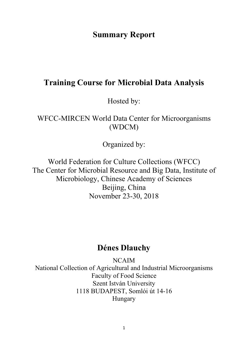## **Summary Report**

# **Training Course for Microbial Data Analysis**

Hosted by:

WFCC-MIRCEN World Data Center for Microorganisms (WDCM)

Organized by:

World Federation for Culture Collections (WFCC) The Center for Microbial Resource and Big Data, Institute of Microbiology, Chinese Academy of Sciences Beijing, China November 23-30, 2018

# **Dénes Dlauchy**

NCAIM National Collection of Agricultural and Industrial Microorganisms Faculty of Food Science Szent István University 1118 BUDAPEST, Somlói út 14-16 Hungary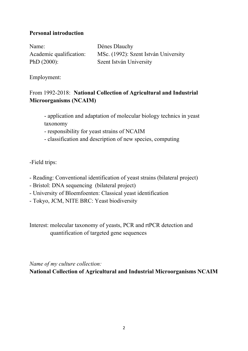### **Personal introduction**

Name: Dénes Dlauchy PhD (2000): Szent István University

Academic qualification: MSc. (1992): Szent István University

Employment:

## From 1992-2018: **National Collection of Agricultural and Industrial Microorganisms (NCAIM)**

- application and adaptation of molecular biology technics in yeast taxonomy

- responsibility for yeast strains of NCAIM

- classification and description of new species, computing

-Field trips:

- Reading: Conventional identification of yeast strains (bilateral project)
- Bristol: DNA sequencing (bilateral project)
- University of Bloemfoenten: Classical yeast identification
- Tokyo, JCM, NITE BRC: Yeast biodiversity

Interest: molecular taxonomy of yeasts, PCR and rtPCR detection and quantification of targeted gene sequences

*Name of my culture collection:*

**National Collection of Agricultural and Industrial Microorganisms NCAIM**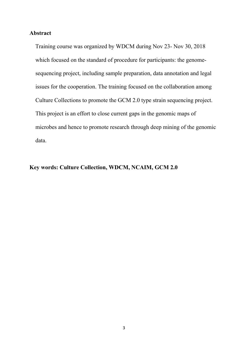#### **Abstract**

Training course was organized by WDCM during Nov 23- Nov 30, 2018 which focused on the standard of procedure for participants: the genomesequencing project, including sample preparation, data annotation and legal issues for the cooperation. The training focused on the collaboration among Culture Collections to promote the GCM 2.0 type strain sequencing project. This project is an effort to close current gaps in the genomic maps of microbes and hence to promote research through deep mining of the genomic data.

### **Key words: Culture Collection, WDCM, NCAIM, GCM 2.0**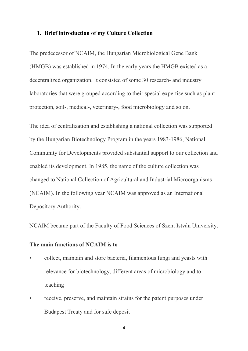#### **1. Brief introduction of my Culture Collection**

The predecessor of NCAIM, the Hungarian Microbiological Gene Bank (HMGB) was established in 1974. In the early years the HMGB existed as a decentralized organization. It consisted of some 30 research- and industry laboratories that were grouped according to their special expertise such as plant protection, soil-, medical-, veterinary-, food microbiology and so on.

The idea of centralization and establishing a national collection was supported by the Hungarian Biotechnology Program in the years 1983-1986, National Community for Developments provided substantial support to our collection and enabled its development. In 1985, the name of the culture collection was changed to National Collection of Agricultural and Industrial Microorganisms (NCAIM). In the following year NCAIM was approved as an International Depository Authority.

NCAIM became part of the Faculty of Food Sciences of Szent István University.

#### **The main functions of NCAIM is to**

- collect, maintain and store bacteria, filamentous fungi and yeasts with relevance for biotechnology, different areas of microbiology and to teaching
- receive, preserve, and maintain strains for the patent purposes under Budapest Treaty and for safe deposit

4